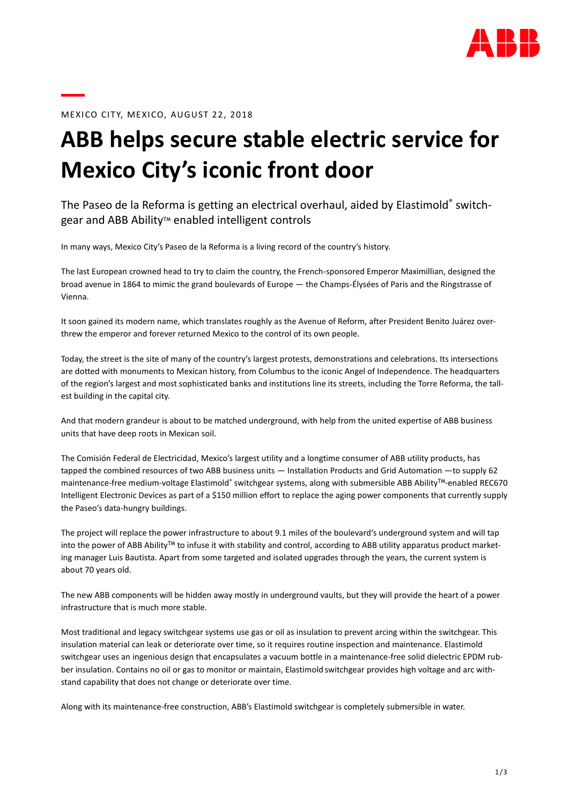

MEXICO CITY, ME XICO, AUGUST 22, 2018

## **ABB helps secure stable electric service for Mexico City's iconic front door**

The Paseo de la Reforma is getting an electrical overhaul, aided by Elastimold<sup>®</sup> switchgear and ABB Ability™ enabled intelligent controls

In many ways, Mexico City's Paseo de la Reforma is a living record of the country's history.

The last European crowned head to try to claim the country, the French-sponsored Emperor Maximillian, designed the broad avenue in 1864 to mimic the grand boulevards of Europe — the Champs-Élysées of Paris and the Ringstrasse of Vienna.

It soon gained its modern name, which translates roughly as the Avenue of Reform, after President Benito Juárez overthrew the emperor and forever returned Mexico to the control of its own people.

Today, the street is the site of many of the country's largest protests, demonstrations and celebrations. Its intersections are dotted with monuments to Mexican history, from Columbus to the iconic Angel of Independence. The headquarters of the region's largest and most sophisticated banks and institutions line its streets, including the Torre Reforma, the tallest building in the capital city.

And that modern grandeur is about to be matched underground, with help from the united expertise of ABB business units that have deep roots in Mexican soil.

The Comisión Federal de Electricidad, Mexico's largest utility and a longtime consumer of ABB utility products, has tapped the combined resources of two ABB business units — Installation Products and Grid Automation —to supply 62 maintenance-free medium-voltage Elastimold® switchgear systems, along with submersible ABB Ability™-enabled REC670 Intelligent Electronic Devices as part of a \$150 million effort to replace the aging power components that currently supply the Paseo's data-hungry buildings.

The project will replace the power infrastructure to about 9.1 miles of the boulevard's underground system and will tap into the power of ABB Ability<sup>TM</sup> to infuse it with stability and control, according to ABB utility apparatus product marketing manager Luis Bautista. Apart from some targeted and isolated upgrades through the years, the current system is about 70 years old.

The new ABB components will be hidden away mostly in underground vaults, but they will provide the heart of a power infrastructure that is much more stable.

Most traditional and legacy switchgear systems use gas or oil as insulation to prevent arcing within the switchgear. This insulation material can leak or deteriorate over time, so it requires routine inspection and maintenance. Elastimold switchgear uses an ingenious design that encapsulates a vacuum bottle in a maintenance-free solid dielectric EPDM rubber insulation. Contains no oil or gas to monitor or maintain, Elastimold switchgear provides high voltage and arc withstand capability that does not change or deteriorate over time.

Along with its maintenance-free construction, ABB's Elastimold switchgear is completely submersible in water.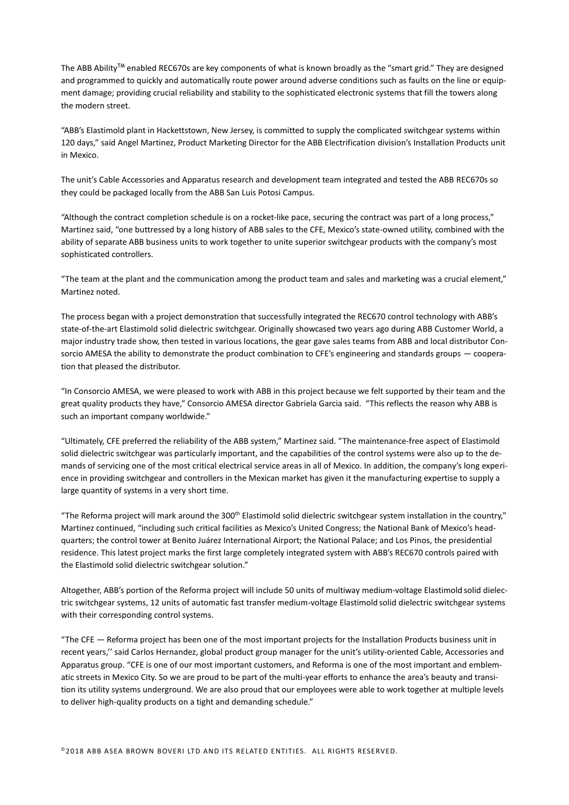The ABB Ability™ enabled REC670s are key components of what is known broadly as the "smart grid." They are designed and programmed to quickly and automatically route power around adverse conditions such as faults on the line or equipment damage; providing crucial reliability and stability to the sophisticated electronic systems that fill the towers along the modern street.

"ABB's Elastimold plant in Hackettstown, New Jersey, is committed to supply the complicated switchgear systems within 120 days," said Angel Martinez, Product Marketing Director for the ABB Electrification division's Installation Products unit in Mexico.

The unit's Cable Accessories and Apparatus research and development team integrated and tested the ABB REC670s so they could be packaged locally from the ABB San Luis Potosi Campus.

"Although the contract completion schedule is on a rocket-like pace, securing the contract was part of a long process," Martinez said, "one buttressed by a long history of ABB sales to the CFE, Mexico's state-owned utility, combined with the ability of separate ABB business units to work together to unite superior switchgear products with the company's most sophisticated controllers.

"The team at the plant and the communication among the product team and sales and marketing was a crucial element," Martinez noted.

The process began with a project demonstration that successfully integrated the REC670 control technology with ABB's state-of-the-art Elastimold solid dielectric switchgear. Originally showcased two years ago during ABB Customer World, a major industry trade show, then tested in various locations, the gear gave sales teams from ABB and local distributor Consorcio AMESA the ability to demonstrate the product combination to CFE's engineering and standards groups — cooperation that pleased the distributor.

"In Consorcio AMESA, we were pleased to work with ABB in this project because we felt supported by their team and the great quality products they have," Consorcio AMESA director Gabriela Garcia said. "This reflects the reason why ABB is such an important company worldwide."

"Ultimately, CFE preferred the reliability of the ABB system," Martinez said. "The maintenance-free aspect of Elastimold solid dielectric switchgear was particularly important, and the capabilities of the control systems were also up to the demands of servicing one of the most critical electrical service areas in all of Mexico. In addition, the company's long experience in providing switchgear and controllers in the Mexican market has given it the manufacturing expertise to supply a large quantity of systems in a very short time.

"The Reforma project will mark around the 300<sup>th</sup> Elastimold solid dielectric switchgear system installation in the country," Martinez continued, "including such critical facilities as Mexico's United Congress; the National Bank of Mexico's headquarters; the control tower at Benito Juárez International Airport; the National Palace; and Los Pinos, the presidential residence. This latest project marks the first large completely integrated system with ABB's REC670 controls paired with the Elastimold solid dielectric switchgear solution."

Altogether, ABB's portion of the Reforma project will include 50 units of multiway medium-voltage Elastimold solid dielectric switchgear systems, 12 units of automatic fast transfer medium-voltage Elastimold solid dielectric switchgear systems with their corresponding control systems.

"The CFE — Reforma project has been one of the most important projects for the Installation Products business unit in recent years,'' said Carlos Hernandez, global product group manager for the unit's utility-oriented Cable, Accessories and Apparatus group. "CFE is one of our most important customers, and Reforma is one of the most important and emblematic streets in Mexico City. So we are proud to be part of the multi-year efforts to enhance the area's beauty and transition its utility systems underground. We are also proud that our employees were able to work together at multiple levels to deliver high-quality products on a tight and demanding schedule."